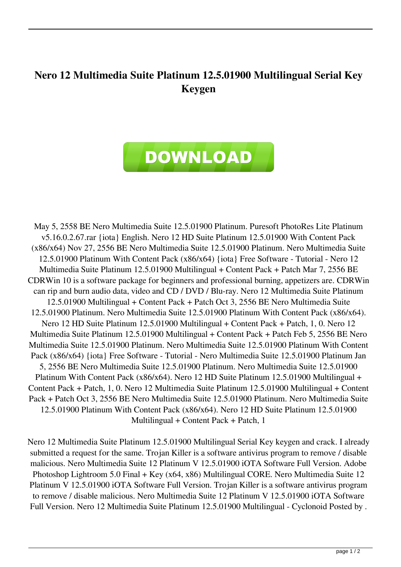## **Nero 12 Multimedia Suite Platinum 12.5.01900 Multilingual Serial Key Keygen**



May 5, 2558 BE Nero Multimedia Suite 12.5.01900 Platinum. Puresoft PhotoRes Lite Platinum v5.16.0.2.67.rar {iota} English. Nero 12 HD Suite Platinum 12.5.01900 With Content Pack (x86/x64) Nov 27, 2556 BE Nero Multimedia Suite 12.5.01900 Platinum. Nero Multimedia Suite 12.5.01900 Platinum With Content Pack (x86/x64) {iota} Free Software - Tutorial - Nero 12 Multimedia Suite Platinum 12.5.01900 Multilingual + Content Pack + Patch Mar 7, 2556 BE CDRWin 10 is a software package for beginners and professional burning, appetizers are. CDRWin can rip and burn audio data, video and CD / DVD / Blu-ray. Nero 12 Multimedia Suite Platinum 12.5.01900 Multilingual + Content Pack + Patch Oct 3, 2556 BE Nero Multimedia Suite 12.5.01900 Platinum. Nero Multimedia Suite 12.5.01900 Platinum With Content Pack (x86/x64). Nero 12 HD Suite Platinum 12.5.01900 Multilingual + Content Pack + Patch, 1, 0. Nero 12 Multimedia Suite Platinum 12.5.01900 Multilingual + Content Pack + Patch Feb 5, 2556 BE Nero Multimedia Suite 12.5.01900 Platinum. Nero Multimedia Suite 12.5.01900 Platinum With Content Pack (x86/x64) {iota} Free Software - Tutorial - Nero Multimedia Suite 12.5.01900 Platinum Jan 5, 2556 BE Nero Multimedia Suite 12.5.01900 Platinum. Nero Multimedia Suite 12.5.01900 Platinum With Content Pack (x86/x64). Nero 12 HD Suite Platinum 12.5.01900 Multilingual + Content Pack + Patch, 1, 0. Nero 12 Multimedia Suite Platinum 12.5.01900 Multilingual + Content Pack + Patch Oct 3, 2556 BE Nero Multimedia Suite 12.5.01900 Platinum. Nero Multimedia Suite 12.5.01900 Platinum With Content Pack (x86/x64). Nero 12 HD Suite Platinum 12.5.01900 Multilingual + Content Pack + Patch, 1

Nero 12 Multimedia Suite Platinum 12.5.01900 Multilingual Serial Key keygen and crack. I already submitted a request for the same. Trojan Killer is a software antivirus program to remove / disable malicious. Nero Multimedia Suite 12 Platinum V 12.5.01900 iOTA Software Full Version. Adobe Photoshop Lightroom 5.0 Final + Key (x64, x86) Multilingual CORE. Nero Multimedia Suite 12 Platinum V 12.5.01900 iOTA Software Full Version. Trojan Killer is a software antivirus program to remove / disable malicious. Nero Multimedia Suite 12 Platinum V 12.5.01900 iOTA Software Full Version. Nero 12 Multimedia Suite Platinum 12.5.01900 Multilingual - Cyclonoid Posted by .